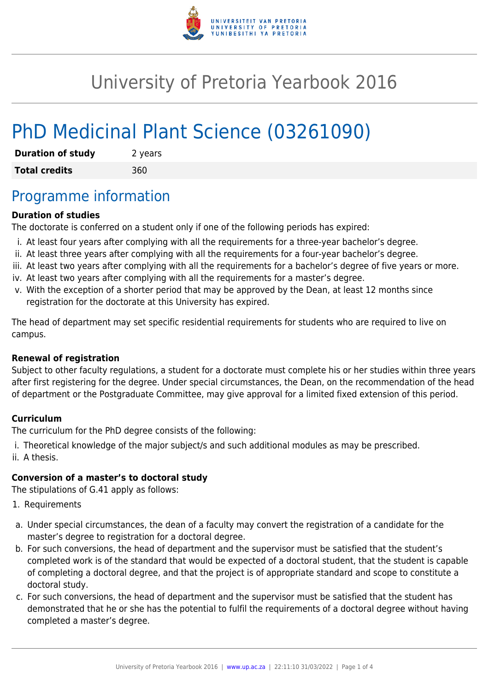

# University of Pretoria Yearbook 2016

# PhD Medicinal Plant Science (03261090)

| <b>Duration of study</b> | 2 years |
|--------------------------|---------|
| <b>Total credits</b>     | 360     |

## Programme information

### **Duration of studies**

The doctorate is conferred on a student only if one of the following periods has expired:

- i. At least four years after complying with all the requirements for a three-year bachelor's degree.
- ii. At least three years after complying with all the requirements for a four-year bachelor's degree.
- iii. At least two years after complying with all the requirements for a bachelor's degree of five years or more.
- iv. At least two years after complying with all the requirements for a master's degree.
- v. With the exception of a shorter period that may be approved by the Dean, at least 12 months since registration for the doctorate at this University has expired.

The head of department may set specific residential requirements for students who are required to live on campus.

### **Renewal of registration**

Subject to other faculty regulations, a student for a doctorate must complete his or her studies within three years after first registering for the degree. Under special circumstances, the Dean, on the recommendation of the head of department or the Postgraduate Committee, may give approval for a limited fixed extension of this period.

### **Curriculum**

The curriculum for the PhD degree consists of the following:

i. Theoretical knowledge of the major subject/s and such additional modules as may be prescribed. ii. A thesis.

### **Conversion of a master's to doctoral study**

The stipulations of G.41 apply as follows:

- 1. Requirements
- a. Under special circumstances, the dean of a faculty may convert the registration of a candidate for the master's degree to registration for a doctoral degree.
- b. For such conversions, the head of department and the supervisor must be satisfied that the student's completed work is of the standard that would be expected of a doctoral student, that the student is capable of completing a doctoral degree, and that the project is of appropriate standard and scope to constitute a doctoral study.
- c. For such conversions, the head of department and the supervisor must be satisfied that the student has demonstrated that he or she has the potential to fulfil the requirements of a doctoral degree without having completed a master's degree.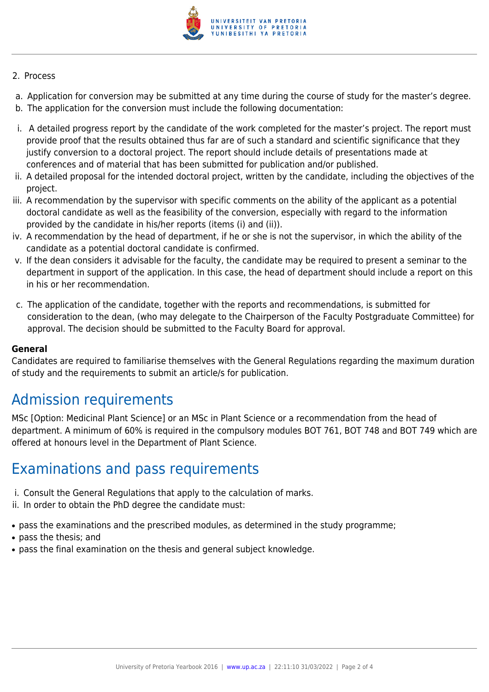

#### 2. Process

- a. Application for conversion may be submitted at any time during the course of study for the master's degree.
- b. The application for the conversion must include the following documentation:
- i. A detailed progress report by the candidate of the work completed for the master's project. The report must provide proof that the results obtained thus far are of such a standard and scientific significance that they justify conversion to a doctoral project. The report should include details of presentations made at conferences and of material that has been submitted for publication and/or published.
- ii. A detailed proposal for the intended doctoral project, written by the candidate, including the objectives of the project.
- iii. A recommendation by the supervisor with specific comments on the ability of the applicant as a potential doctoral candidate as well as the feasibility of the conversion, especially with regard to the information provided by the candidate in his/her reports (items (i) and (ii)).
- iv. A recommendation by the head of department, if he or she is not the supervisor, in which the ability of the candidate as a potential doctoral candidate is confirmed.
- v. If the dean considers it advisable for the faculty, the candidate may be required to present a seminar to the department in support of the application. In this case, the head of department should include a report on this in his or her recommendation.
- c. The application of the candidate, together with the reports and recommendations, is submitted for consideration to the dean, (who may delegate to the Chairperson of the Faculty Postgraduate Committee) for approval. The decision should be submitted to the Faculty Board for approval.

#### **General**

Candidates are required to familiarise themselves with the General Regulations regarding the maximum duration of study and the requirements to submit an article/s for publication.

## Admission requirements

MSc [Option: Medicinal Plant Science] or an MSc in Plant Science or a recommendation from the head of department. A minimum of 60% is required in the compulsory modules BOT 761, BOT 748 and BOT 749 which are offered at honours level in the Department of Plant Science.

### Examinations and pass requirements

- i. Consult the General Regulations that apply to the calculation of marks.
- ii. In order to obtain the PhD degree the candidate must:
- pass the examinations and the prescribed modules, as determined in the study programme;
- pass the thesis: and
- pass the final examination on the thesis and general subject knowledge.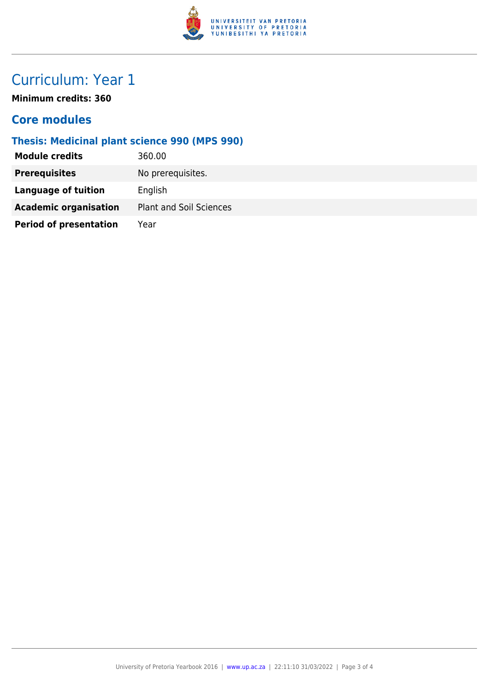

## Curriculum: Year 1

**Minimum credits: 360**

### **Core modules**

### **Thesis: Medicinal plant science 990 (MPS 990)**

| <b>Module credits</b>         | 360.00                         |
|-------------------------------|--------------------------------|
| <b>Prerequisites</b>          | No prerequisites.              |
| Language of tuition           | English                        |
| <b>Academic organisation</b>  | <b>Plant and Soil Sciences</b> |
| <b>Period of presentation</b> | Year                           |